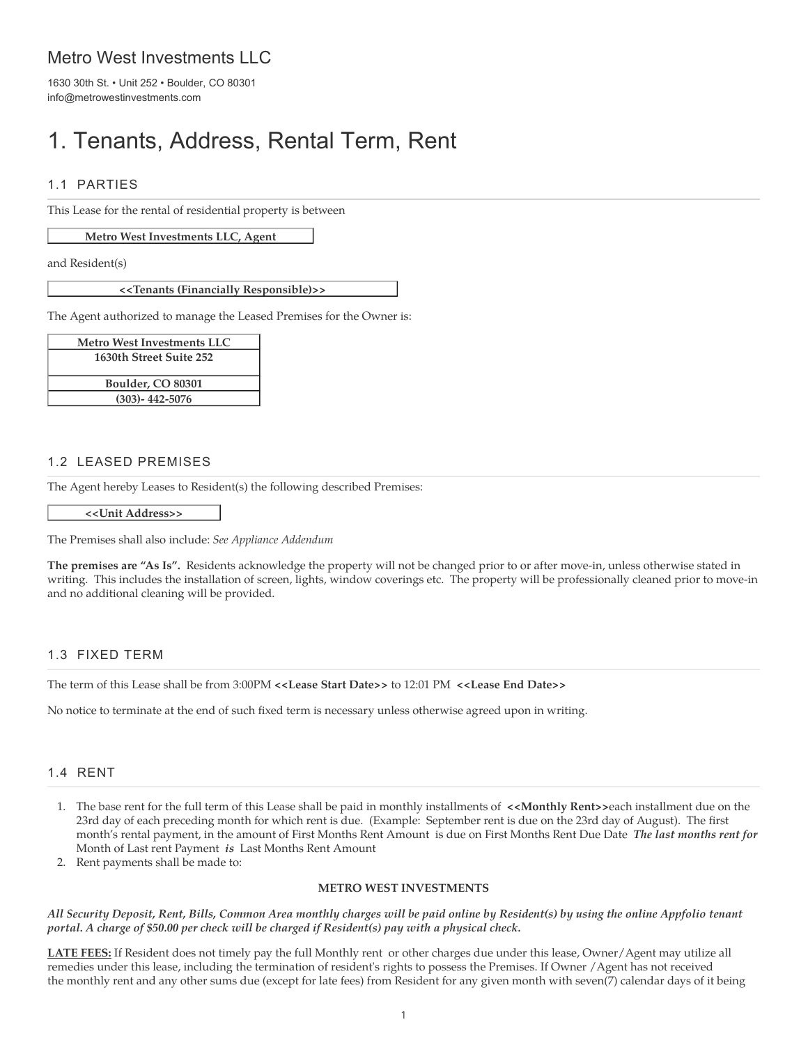# Metro West Investments LLC

1630 30th St. • Unit 252 • Boulder, CO 80301 info@metrowestinvestments.com

# 1. Tenants, Address, Rental Term, Rent

### 1.1 PARTIES

This Lease for the rental of residential property is between

#### **Metro West Investments LLC, Agent**

and Resident(s)

**<<Tenants (Financially Responsible)>>**

The Agent authorized to manage the Leased Premises for the Owner is:

| <b>Metro West Investments LLC</b> |  |  |
|-----------------------------------|--|--|
| 1630th Street Suite 252           |  |  |
|                                   |  |  |
| Boulder, CO 80301                 |  |  |
| $(303) - 442 - 5076$              |  |  |

#### 1.2 LEASED PREMISES

The Agent hereby Leases to Resident(s) the following described Premises:

**<<Unit Address>>**

The Premises shall also include: *See Appliance Addendum*

**The premises are "As Is".** Residents acknowledge the property will not be changed prior to or after move-in, unless otherwise stated in writing. This includes the installation of screen, lights, window coverings etc. The property will be professionally cleaned prior to move-in and no additional cleaning will be provided.

#### 1.3 FIXED TERM

The term of this Lease shall be from 3:00PM **<<Lease Start Date>>** to 12:01 PM **<<Lease End Date>>**

No notice to terminate at the end of such fixed term is necessary unless otherwise agreed upon in writing.

#### 1.4 RENT

- 1. The base rent for the full term of this Lease shall be paid in monthly installments of **<<Monthly Rent>>**each installment due on the 23rd day of each preceding month for which rent is due. (Example: September rent is due on the 23rd day of August). The first month's rental payment, in the amount of First Months Rent Amount is due on First Months Rent Due Date *The last months rent for* Month of Last rent Payment *is* Last Months Rent Amount
- 2. Rent payments shall be made to:

#### **METRO WEST INVESTMENTS**

*All Security Deposit, Rent, Bills, Common Area monthly charges will be paid online by Resident(s) by using the online Appfolio tenant portal. A charge of \$50.00 per check will be charged if Resident(s) pay with a physical check.*

**LATE FEES:** If Resident does not timely pay the full Monthly rent or other charges due under this lease, Owner/Agent may utilize all remedies under this lease, including the termination of resident's rights to possess the Premises. If Owner /Agent has not received the monthly rent and any other sums due (except for late fees) from Resident for any given month with seven(7) calendar days of it being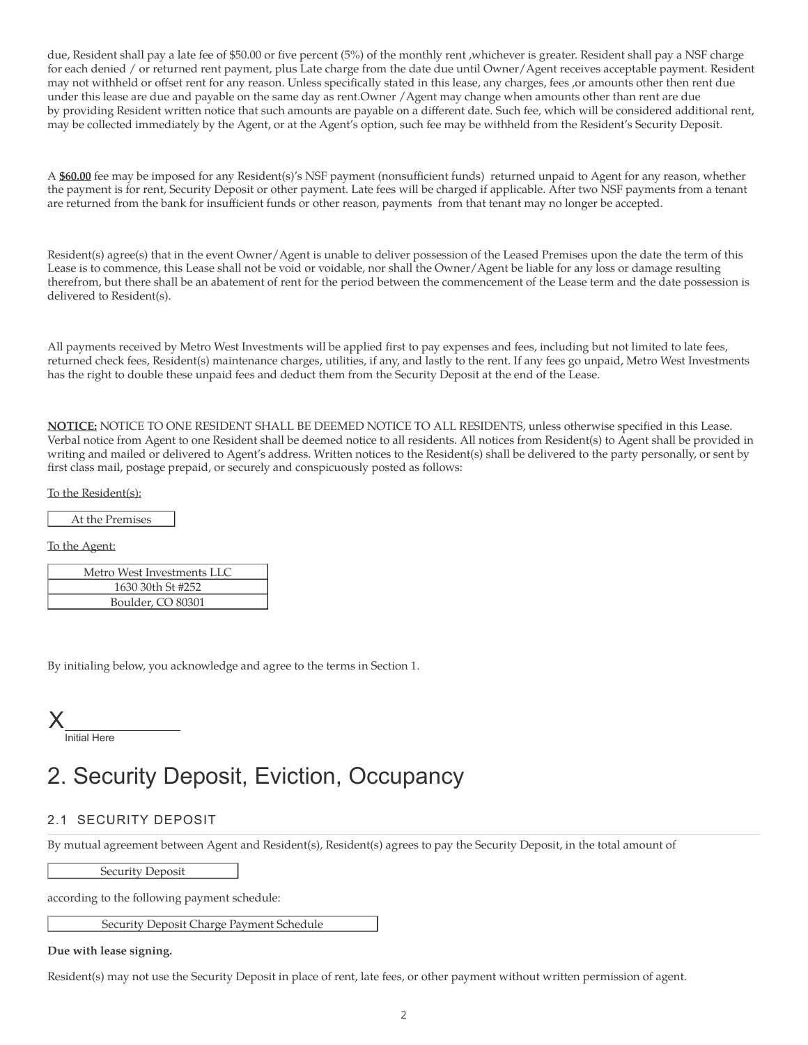due, Resident shall pay a late fee of \$50.00 or five percent (5%) of the monthly rent ,whichever is greater. Resident shall pay a NSF charge for each denied / or returned rent payment, plus Late charge from the date due until Owner/Agent receives acceptable payment. Resident may not withheld or offset rent for any reason. Unless specifically stated in this lease, any charges, fees ,or amounts other then rent due under this lease are due and payable on the same day as rent.Owner /Agent may change when amounts other than rent are due by providing Resident written notice that such amounts are payable on a different date. Such fee, which will be considered additional rent, may be collected immediately by the Agent, or at the Agent's option, such fee may be withheld from the Resident's Security Deposit.

A **\$60.00** fee may be imposed for any Resident(s)'s NSF payment (nonsufficient funds) returned unpaid to Agent for any reason, whether the payment is for rent, Security Deposit or other payment. Late fees will be charged if applicable. After two NSF payments from a tenant are returned from the bank for insufficient funds or other reason, payments from that tenant may no longer be accepted.

Resident(s) agree(s) that in the event Owner/Agent is unable to deliver possession of the Leased Premises upon the date the term of this Lease is to commence, this Lease shall not be void or voidable, nor shall the Owner/Agent be liable for any loss or damage resulting therefrom, but there shall be an abatement of rent for the period between the commencement of the Lease term and the date possession is delivered to Resident(s).

All payments received by Metro West Investments will be applied first to pay expenses and fees, including but not limited to late fees, returned check fees, Resident(s) maintenance charges, utilities, if any, and lastly to the rent. If any fees go unpaid, Metro West Investments has the right to double these unpaid fees and deduct them from the Security Deposit at the end of the Lease.

**NOTICE:** NOTICE TO ONE RESIDENT SHALL BE DEEMED NOTICE TO ALL RESIDENTS, unless otherwise specified in this Lease. Verbal notice from Agent to one Resident shall be deemed notice to all residents. All notices from Resident(s) to Agent shall be provided in writing and mailed or delivered to Agent's address. Written notices to the Resident(s) shall be delivered to the party personally, or sent by first class mail, postage prepaid, or securely and conspicuously posted as follows:

To the Resident(s):

At the Premises

To the Agent:

| Metro West Investments LLC |                   |  |  |
|----------------------------|-------------------|--|--|
|                            | 1630 30th St #252 |  |  |
|                            | Boulder, CO 80301 |  |  |

By initialing below, you acknowledge and agree to the terms in Section 1.



# 2. Security Deposit, Eviction, Occupancy

### 2.1 SECURITY DEPOSIT

By mutual agreement between Agent and Resident(s), Resident(s) agrees to pay the Security Deposit, in the total amount of

Security Deposit

according to the following payment schedule:

Security Deposit Charge Payment Schedule

#### **Due with lease signing.**

Resident(s) may not use the Security Deposit in place of rent, late fees, or other payment without written permission of agent.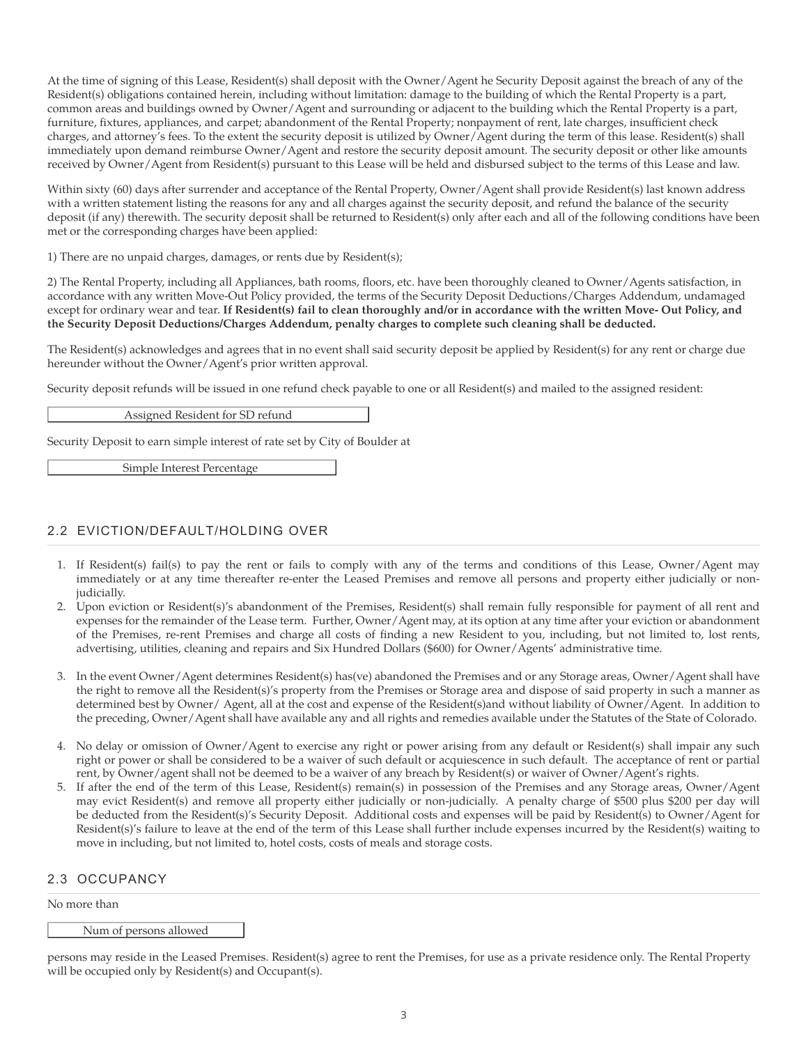At the time of signing of this Lease, Resident(s) shall deposit with the Owner/Agent he Security Deposit against the breach of any of the Resident(s) obligations contained herein, including without limitation: damage to the building of which the Rental Property is a part, common areas and buildings owned by Owner/Agent and surrounding or adjacent to the building which the Rental Property is a part, furniture, fixtures, appliances, and carpet; abandonment of the Rental Property; nonpayment of rent, late charges, insufficient check charges, and attorney's fees. To the extent the security deposit is utilized by Owner/Agent during the term of this lease. Resident(s) shall immediately upon demand reimburse Owner/Agent and restore the security deposit amount. The security deposit or other like amounts received by Owner/Agent from Resident(s) pursuant to this Lease will be held and disbursed subject to the terms of this Lease and law.

Within sixty (60) days after surrender and acceptance of the Rental Property, Owner/Agent shall provide Resident(s) last known address with a written statement listing the reasons for any and all charges against the security deposit, and refund the balance of the security deposit (if any) therewith. The security deposit shall be returned to Resident(s) only after each and all of the following conditions have been met or the corresponding charges have been applied:

1) There are no unpaid charges, damages, or rents due by Resident(s);

2) The Rental Property, including all Appliances, bath rooms, floors, etc. have been thoroughly cleaned to Owner/Agents satisfaction, in accordance with any written Move-Out Policy provided, the terms of the Security Deposit Deductions/Charges Addendum, undamaged except for ordinary wear and tear. **If Resident(s) fail to clean thoroughly and/or in accordance with the written Move- Out Policy, and the Security Deposit Deductions/Charges Addendum, penalty charges to complete such cleaning shall be deducted.**

The Resident(s) acknowledges and agrees that in no event shall said security deposit be applied by Resident(s) for any rent or charge due hereunder without the Owner/Agent's prior written approval.

Security deposit refunds will be issued in one refund check payable to one or all Resident(s) and mailed to the assigned resident:

Assigned Resident for SD refund

Security Deposit to earn simple interest of rate set by City of Boulder at

Simple Interest Percentage

### 2.2 EVICTION/DEFAULT/HOLDING OVER

- 1. If Resident(s) fail(s) to pay the rent or fails to comply with any of the terms and conditions of this Lease, Owner/Agent may immediately or at any time thereafter re-enter the Leased Premises and remove all persons and property either judicially or nonjudicially.
- 2. Upon eviction or Resident(s)'s abandonment of the Premises, Resident(s) shall remain fully responsible for payment of all rent and expenses for the remainder of the Lease term. Further, Owner/Agent may, at its option at any time after your eviction or abandonment of the Premises, re-rent Premises and charge all costs of finding a new Resident to you, including, but not limited to, lost rents, advertising, utilities, cleaning and repairs and Six Hundred Dollars (\$600) for Owner/Agents' administrative time.
- 3. In the event Owner/Agent determines Resident(s) has(ve) abandoned the Premises and or any Storage areas, Owner/Agent shall have the right to remove all the Resident(s)'s property from the Premises or Storage area and dispose of said property in such a manner as determined best by Owner/ Agent, all at the cost and expense of the Resident(s)and without liability of Owner/Agent. In addition to the preceding, Owner/Agent shall have available any and all rights and remedies available under the Statutes of the State of Colorado.
- 4. No delay or omission of Owner/Agent to exercise any right or power arising from any default or Resident(s) shall impair any such right or power or shall be considered to be a waiver of such default or acquiescence in such default. The acceptance of rent or partial rent, by Owner/agent shall not be deemed to be a waiver of any breach by Resident(s) or waiver of Owner/Agent's rights.
- 5. If after the end of the term of this Lease, Resident(s) remain(s) in possession of the Premises and any Storage areas, Owner/Agent may evict Resident(s) and remove all property either judicially or non-judicially. A penalty charge of \$500 plus \$200 per day will be deducted from the Resident(s)'s Security Deposit. Additional costs and expenses will be paid by Resident(s) to Owner/Agent for Resident(s)'s failure to leave at the end of the term of this Lease shall further include expenses incurred by the Resident(s) waiting to move in including, but not limited to, hotel costs, costs of meals and storage costs.

#### 2.3 OCCUPANCY

No more than

#### Num of persons allowed

persons may reside in the Leased Premises. Resident(s) agree to rent the Premises, for use as a private residence only. The Rental Property will be occupied only by Resident(s) and Occupant(s).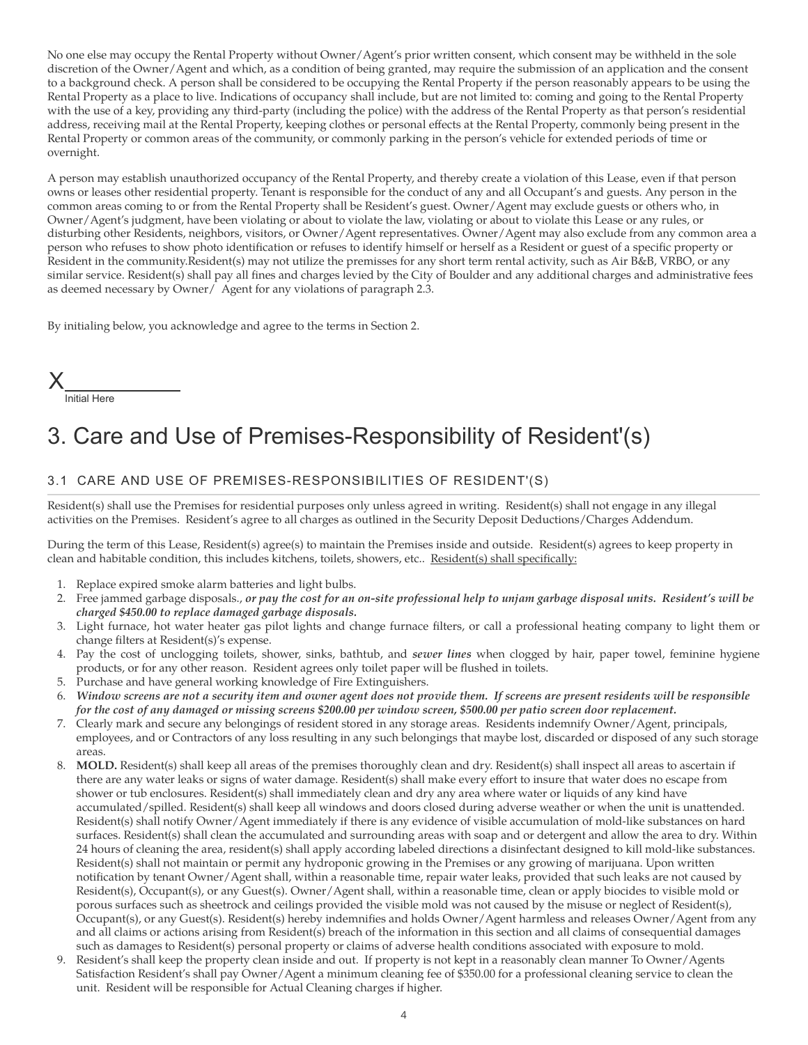No one else may occupy the Rental Property without Owner/Agent's prior written consent, which consent may be withheld in the sole discretion of the Owner/Agent and which, as a condition of being granted, may require the submission of an application and the consent to a background check. A person shall be considered to be occupying the Rental Property if the person reasonably appears to be using the Rental Property as a place to live. Indications of occupancy shall include, but are not limited to: coming and going to the Rental Property with the use of a key, providing any third-party (including the police) with the address of the Rental Property as that person's residential address, receiving mail at the Rental Property, keeping clothes or personal effects at the Rental Property, commonly being present in the Rental Property or common areas of the community, or commonly parking in the person's vehicle for extended periods of time or overnight.

A person may establish unauthorized occupancy of the Rental Property, and thereby create a violation of this Lease, even if that person owns or leases other residential property. Tenant is responsible for the conduct of any and all Occupant's and guests. Any person in the common areas coming to or from the Rental Property shall be Resident's guest. Owner/Agent may exclude guests or others who, in Owner/Agent's judgment, have been violating or about to violate the law, violating or about to violate this Lease or any rules, or disturbing other Residents, neighbors, visitors, or Owner/Agent representatives. Owner/Agent may also exclude from any common area a person who refuses to show photo identification or refuses to identify himself or herself as a Resident or guest of a specific property or Resident in the community.Resident(s) may not utilize the premisses for any short term rental activity, such as Air B&B, VRBO, or any similar service. Resident(s) shall pay all fines and charges levied by the City of Boulder and any additional charges and administrative fees as deemed necessary by Owner/ Agent for any violations of paragraph 2.3.

By initialing below, you acknowledge and agree to the terms in Section 2.



# 3. Care and Use of Premises-Responsibility of Resident'(s)

### 3.1 CARE AND USE OF PREMISES-RESPONSIBILITIES OF RESIDENT'(S)

Resident(s) shall use the Premises for residential purposes only unless agreed in writing. Resident(s) shall not engage in any illegal activities on the Premises. Resident's agree to all charges as outlined in the Security Deposit Deductions/Charges Addendum.

During the term of this Lease, Resident(s) agree(s) to maintain the Premises inside and outside. Resident(s) agrees to keep property in clean and habitable condition, this includes kitchens, toilets, showers, etc.. Resident(s) shall specifically:

- 1. Replace expired smoke alarm batteries and light bulbs.
- 2. Free jammed garbage disposals., *or pay the cost for an on-site professional help to unjam garbage disposal units. Resident's will be charged \$450.00 to replace damaged garbage disposals.*
- 3. Light furnace, hot water heater gas pilot lights and change furnace filters, or call a professional heating company to light them or change filters at Resident(s)'s expense.
- 4. Pay the cost of unclogging toilets, shower, sinks, bathtub, and *sewer lines* when clogged by hair, paper towel, feminine hygiene products, or for any other reason. Resident agrees only toilet paper will be flushed in toilets.
- 5. Purchase and have general working knowledge of Fire Extinguishers.
- 6. *Window screens are not a security item and owner agent does not provide them. If screens are present residents will be responsible for the cost of any damaged or missing screens \$200.00 per window screen, \$500.00 per patio screen door replacement.*
- 7. Clearly mark and secure any belongings of resident stored in any storage areas. Residents indemnify Owner/Agent, principals, employees, and or Contractors of any loss resulting in any such belongings that maybe lost, discarded or disposed of any such storage areas.
- 8. **MOLD.** Resident(s) shall keep all areas of the premises thoroughly clean and dry. Resident(s) shall inspect all areas to ascertain if there are any water leaks or signs of water damage. Resident(s) shall make every effort to insure that water does no escape from shower or tub enclosures. Resident(s) shall immediately clean and dry any area where water or liquids of any kind have accumulated/spilled. Resident(s) shall keep all windows and doors closed during adverse weather or when the unit is unattended. Resident(s) shall notify Owner/Agent immediately if there is any evidence of visible accumulation of mold-like substances on hard surfaces. Resident(s) shall clean the accumulated and surrounding areas with soap and or detergent and allow the area to dry. Within 24 hours of cleaning the area, resident(s) shall apply according labeled directions a disinfectant designed to kill mold-like substances. Resident(s) shall not maintain or permit any hydroponic growing in the Premises or any growing of marijuana. Upon written notification by tenant Owner/Agent shall, within a reasonable time, repair water leaks, provided that such leaks are not caused by Resident(s), Occupant(s), or any Guest(s). Owner/Agent shall, within a reasonable time, clean or apply biocides to visible mold or porous surfaces such as sheetrock and ceilings provided the visible mold was not caused by the misuse or neglect of Resident(s), Occupant(s), or any Guest(s). Resident(s) hereby indemnifies and holds Owner/Agent harmless and releases Owner/Agent from any and all claims or actions arising from Resident(s) breach of the information in this section and all claims of consequential damages such as damages to Resident(s) personal property or claims of adverse health conditions associated with exposure to mold.
- 9. Resident's shall keep the property clean inside and out. If property is not kept in a reasonably clean manner To Owner/Agents Satisfaction Resident's shall pay Owner/Agent a minimum cleaning fee of \$350.00 for a professional cleaning service to clean the unit. Resident will be responsible for Actual Cleaning charges if higher.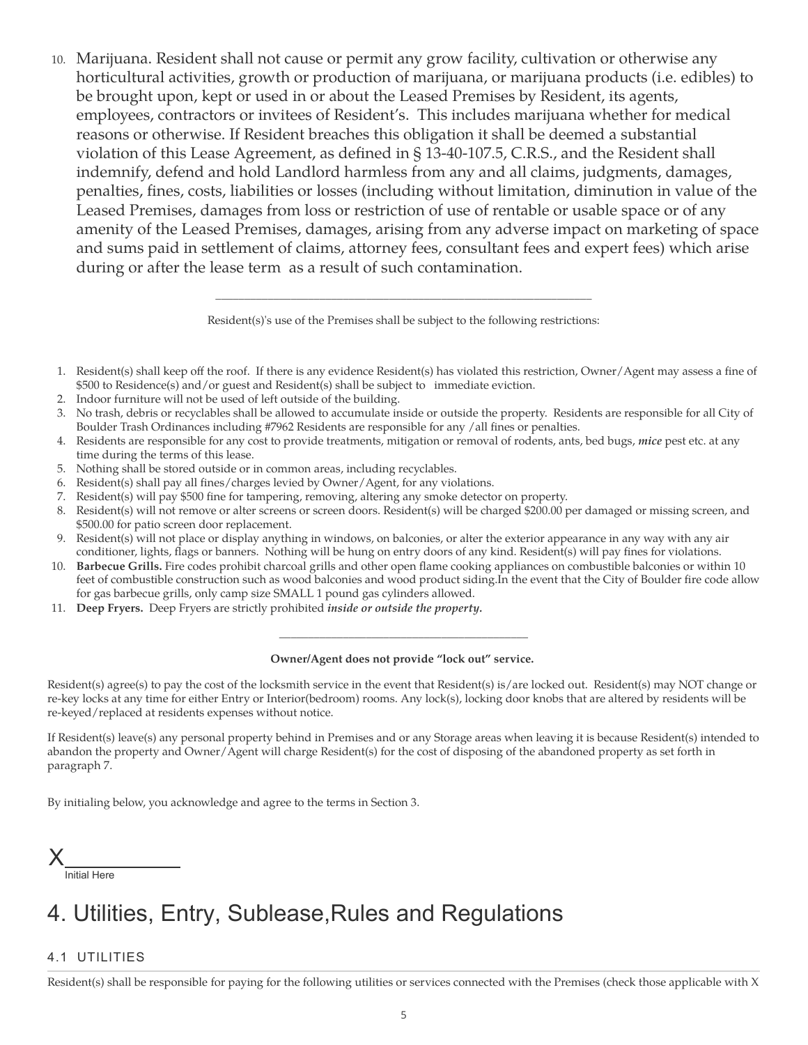10. Marijuana. Resident shall not cause or permit any grow facility, cultivation or otherwise any horticultural activities, growth or production of marijuana, or marijuana products (i.e. edibles) to be brought upon, kept or used in or about the Leased Premises by Resident, its agents, employees, contractors or invitees of Resident's. This includes marijuana whether for medical reasons or otherwise. If Resident breaches this obligation it shall be deemed a substantial violation of this Lease Agreement, as defined in § 13-40-107.5, C.R.S., and the Resident shall indemnify, defend and hold Landlord harmless from any and all claims, judgments, damages, penalties, fines, costs, liabilities or losses (including without limitation, diminution in value of the Leased Premises, damages from loss or restriction of use of rentable or usable space or of any amenity of the Leased Premises, damages, arising from any adverse impact on marketing of space and sums paid in settlement of claims, attorney fees, consultant fees and expert fees) which arise during or after the lease term as a result of such contamination.

> \_\_\_\_\_\_\_\_\_\_\_\_\_\_\_\_\_\_\_\_\_\_\_\_\_\_\_\_\_\_\_\_\_\_\_\_\_\_\_\_\_\_\_\_\_\_\_\_\_\_\_\_\_\_\_\_\_\_\_\_\_\_\_\_\_ Resident(s)'s use of the Premises shall be subject to the following restrictions:

- 1. Resident(s) shall keep off the roof. If there is any evidence Resident(s) has violated this restriction, Owner/Agent may assess a fine of \$500 to Residence(s) and/or guest and Resident(s) shall be subject to immediate eviction.
- 2. Indoor furniture will not be used of left outside of the building.
- 3. No trash, debris or recyclables shall be allowed to accumulate inside or outside the property. Residents are responsible for all City of Boulder Trash Ordinances including #7962 Residents are responsible for any /all fines or penalties.
- 4. Residents are responsible for any cost to provide treatments, mitigation or removal of rodents, ants, bed bugs, *mice* pest etc. at any time during the terms of this lease.
- 5. Nothing shall be stored outside or in common areas, including recyclables.
- 6. Resident(s) shall pay all fines/charges levied by Owner/Agent, for any violations.
- 7. Resident(s) will pay \$500 fine for tampering, removing, altering any smoke detector on property.
- 8. Resident(s) will not remove or alter screens or screen doors. Resident(s) will be charged \$200.00 per damaged or missing screen, and \$500.00 for patio screen door replacement.
- 9. Resident(s) will not place or display anything in windows, on balconies, or alter the exterior appearance in any way with any air conditioner, lights, flags or banners. Nothing will be hung on entry doors of any kind. Resident(s) will pay fines for violations.
- 10. **Barbecue Grills.** Fire codes prohibit charcoal grills and other open flame cooking appliances on combustible balconies or within 10 feet of combustible construction such as wood balconies and wood product siding.In the event that the City of Boulder fire code allow for gas barbecue grills, only camp size SMALL 1 pound gas cylinders allowed.
- 11. **Deep Fryers.** Deep Fryers are strictly prohibited *inside or outside the property.*

# *\_\_\_\_\_\_\_\_\_\_\_\_\_\_\_\_\_\_\_\_\_\_\_\_\_\_\_\_\_\_\_\_\_\_\_\_\_\_\_\_\_\_\_* **Owner/Agent does not provide "lock out" service.**

Resident(s) agree(s) to pay the cost of the locksmith service in the event that Resident(s) is/are locked out. Resident(s) may NOT change or re-key locks at any time for either Entry or Interior(bedroom) rooms. Any lock(s), locking door knobs that are altered by residents will be re-keyed/replaced at residents expenses without notice.

If Resident(s) leave(s) any personal property behind in Premises and or any Storage areas when leaving it is because Resident(s) intended to abandon the property and Owner/Agent will charge Resident(s) for the cost of disposing of the abandoned property as set forth in paragraph 7.

By initialing below, you acknowledge and agree to the terms in Section 3.

Initial Here X

# 4. Utilities, Entry, Sublease,Rules and Regulations

### 4.1 UTILITIES

Resident(s) shall be responsible for paying for the following utilities or services connected with the Premises (check those applicable with X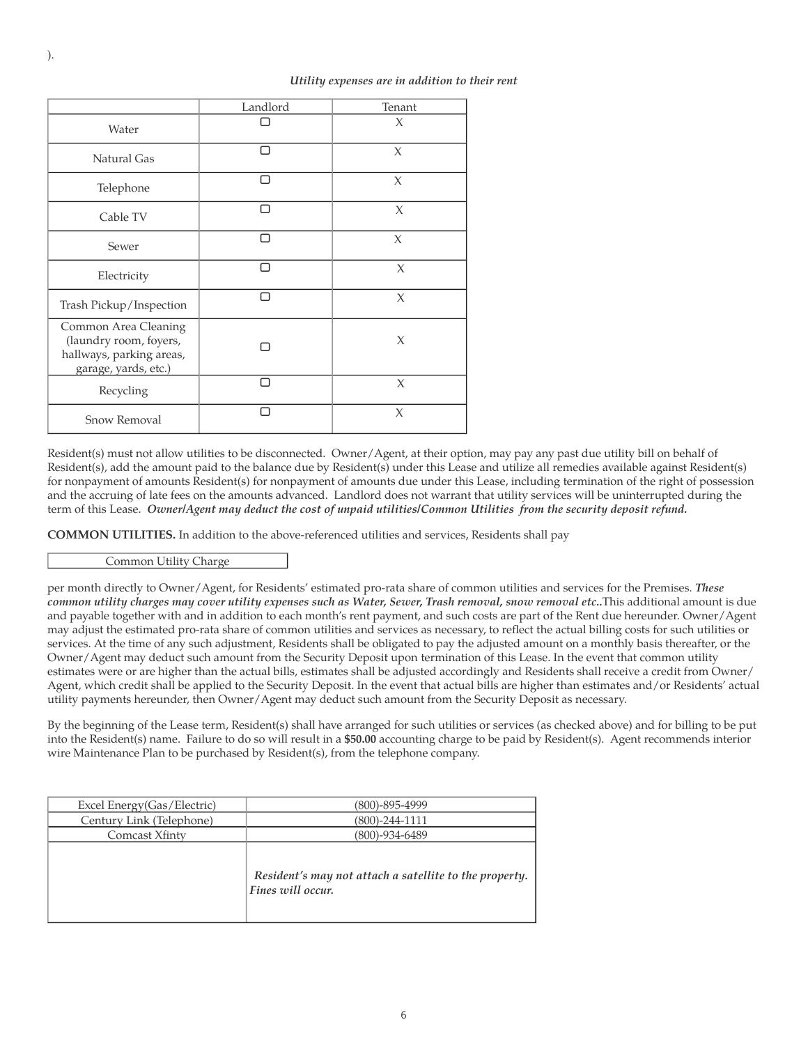#### *Utility expenses are in addition to their rent*

|                                                                                                    | Landlord | Tenant |
|----------------------------------------------------------------------------------------------------|----------|--------|
| Water                                                                                              |          | $\chi$ |
| Natural Gas                                                                                        |          | $\chi$ |
| Telephone                                                                                          | □        | $\chi$ |
| Cable TV                                                                                           | ⊓        | $\chi$ |
| Sewer                                                                                              |          | $\chi$ |
| Electricity                                                                                        |          | $\chi$ |
| Trash Pickup/Inspection                                                                            | П        | $\chi$ |
| Common Area Cleaning<br>(laundry room, foyers,<br>hallways, parking areas,<br>garage, yards, etc.) |          | $\chi$ |
| Recycling                                                                                          |          | X      |
| <b>Snow Removal</b>                                                                                |          | $\chi$ |

Resident(s) must not allow utilities to be disconnected. Owner/Agent, at their option, may pay any past due utility bill on behalf of Resident(s), add the amount paid to the balance due by Resident(s) under this Lease and utilize all remedies available against Resident(s) for nonpayment of amounts Resident(s) for nonpayment of amounts due under this Lease, including termination of the right of possession and the accruing of late fees on the amounts advanced. Landlord does not warrant that utility services will be uninterrupted during the term of this Lease. *Owner/Agent may deduct the cost of unpaid utilities/Common Utilities from the security deposit refund.*

**COMMON UTILITIES.** In addition to the above-referenced utilities and services, Residents shall pay

Common Utility Charge

per month directly to Owner/Agent, for Residents' estimated pro-rata share of common utilities and services for the Premises. *These common utility charges may cover utility expenses such as Water, Sewer, Trash removal, snow removal etc..*This additional amount is due and payable together with and in addition to each month's rent payment, and such costs are part of the Rent due hereunder. Owner/Agent may adjust the estimated pro-rata share of common utilities and services as necessary, to reflect the actual billing costs for such utilities or services. At the time of any such adjustment, Residents shall be obligated to pay the adjusted amount on a monthly basis thereafter, or the Owner/Agent may deduct such amount from the Security Deposit upon termination of this Lease. In the event that common utility estimates were or are higher than the actual bills, estimates shall be adjusted accordingly and Residents shall receive a credit from Owner/ Agent, which credit shall be applied to the Security Deposit. In the event that actual bills are higher than estimates and/or Residents' actual utility payments hereunder, then Owner/Agent may deduct such amount from the Security Deposit as necessary.

By the beginning of the Lease term, Resident(s) shall have arranged for such utilities or services (as checked above) and for billing to be put into the Resident(s) name. Failure to do so will result in a **\$50.00** accounting charge to be paid by Resident(s). Agent recommends interior wire Maintenance Plan to be purchased by Resident(s), from the telephone company.

| Excel Energy (Gas / Electric) | (800)-895-4999                                                              |
|-------------------------------|-----------------------------------------------------------------------------|
| Century Link (Telephone)      | (800)-244-1111                                                              |
| Comcast Xfinty                | (800)-934-6489                                                              |
|                               | Resident's may not attach a satellite to the property.<br>Fines will occur. |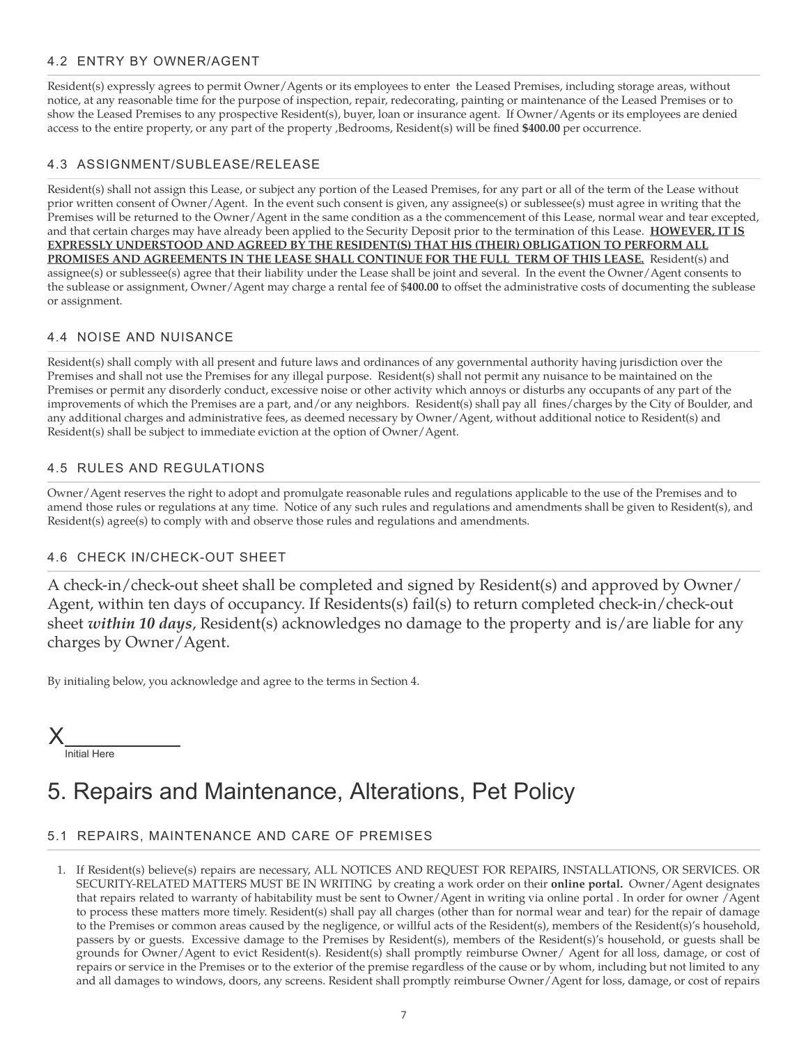### 4.2 ENTRY BY OWNER/AGENT

Resident(s) expressly agrees to permit Owner/Agents or its employees to enter the Leased Premises, including storage areas, without notice, at any reasonable time for the purpose of inspection, repair, redecorating, painting or maintenance of the Leased Premises or to show the Leased Premises to any prospective Resident(s), buyer, loan or insurance agent. If Owner/Agents or its employees are denied access to the entire property, or any part of the property ,Bedrooms, Resident(s) will be fined **\$400.00** per occurrence.

#### 4.3 ASSIGNMENT/SUBLEASE/RELEASE

Resident(s) shall not assign this Lease, or subject any portion of the Leased Premises, for any part or all of the term of the Lease without prior written consent of Owner/Agent. In the event such consent is given, any assignee(s) or sublessee(s) must agree in writing that the Premises will be returned to the Owner/Agent in the same condition as a the commencement of this Lease, normal wear and tear excepted, and that certain charges may have already been applied to the Security Deposit prior to the termination of this Lease. **HOWEVER, IT IS EXPRESSLY UNDERSTOOD AND AGREED BY THE RESIDENT(S) THAT HIS (THEIR) OBLIGATION TO PERFORM ALL PROMISES AND AGREEMENTS IN THE LEASE SHALL CONTINUE FOR THE FULL TERM OF THIS LEASE.** Resident(s) and assignee(s) or sublessee(s) agree that their liability under the Lease shall be joint and several. In the event the Owner/Agent consents to the sublease or assignment, Owner/Agent may charge a rental fee of \$**400.00** to offset the administrative costs of documenting the sublease or assignment.

#### 4.4 NOISE AND NUISANCE

Resident(s) shall comply with all present and future laws and ordinances of any governmental authority having jurisdiction over the Premises and shall not use the Premises for any illegal purpose. Resident(s) shall not permit any nuisance to be maintained on the Premises or permit any disorderly conduct, excessive noise or other activity which annoys or disturbs any occupants of any part of the improvements of which the Premises are a part, and/or any neighbors. Resident(s) shall pay all fines/charges by the City of Boulder, and any additional charges and administrative fees, as deemed necessary by Owner/Agent, without additional notice to Resident(s) and Resident(s) shall be subject to immediate eviction at the option of Owner/Agent.

#### 4.5 RULES AND REGULATIONS

Owner/Agent reserves the right to adopt and promulgate reasonable rules and regulations applicable to the use of the Premises and to amend those rules or regulations at any time. Notice of any such rules and regulations and amendments shall be given to Resident(s), and Resident(s) agree(s) to comply with and observe those rules and regulations and amendments.

#### 4.6 CHECK IN/CHECK-OUT SHEET

A check-in/check-out sheet shall be completed and signed by Resident(s) and approved by Owner/ Agent, within ten days of occupancy. If Residents(s) fail(s) to return completed check-in/check-out sheet *within 10 days*, Resident(s) acknowledges no damage to the property and is/are liable for any charges by Owner/Agent.

By initialing below, you acknowledge and agree to the terms in Section 4.



# 5. Repairs and Maintenance, Alterations, Pet Policy

### 5.1 REPAIRS, MAINTENANCE AND CARE OF PREMISES

1. If Resident(s) believe(s) repairs are necessary, ALL NOTICES AND REQUEST FOR REPAIRS, INSTALLATIONS, OR SERVICES. OR SECURITY-RELATED MATTERS MUST BE IN WRITING by creating a work order on their **online portal.** Owner/Agent designates that repairs related to warranty of habitability must be sent to Owner/Agent in writing via online portal . In order for owner /Agent to process these matters more timely. Resident(s) shall pay all charges (other than for normal wear and tear) for the repair of damage to the Premises or common areas caused by the negligence, or willful acts of the Resident(s), members of the Resident(s)'s household, passers by or guests. Excessive damage to the Premises by Resident(s), members of the Resident(s)'s household, or guests shall be grounds for Owner/Agent to evict Resident(s). Resident(s) shall promptly reimburse Owner/ Agent for all loss, damage, or cost of repairs or service in the Premises or to the exterior of the premise regardless of the cause or by whom, including but not limited to any and all damages to windows, doors, any screens. Resident shall promptly reimburse Owner/Agent for loss, damage, or cost of repairs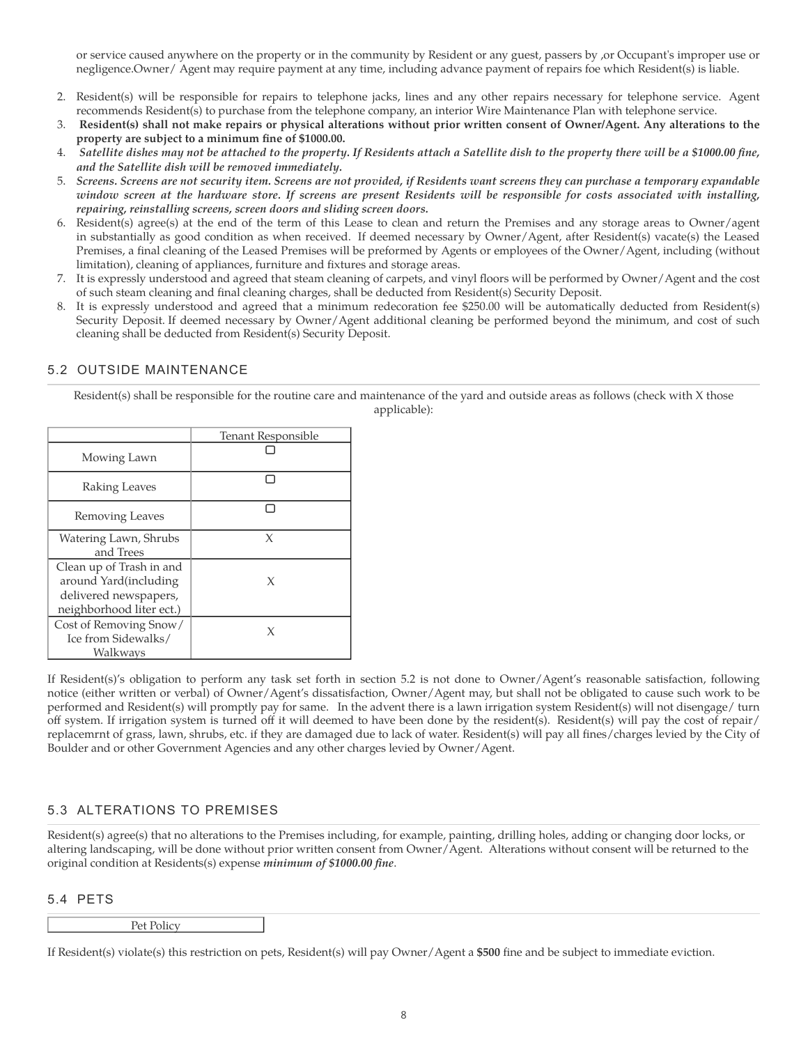or service caused anywhere on the property or in the community by Resident or any guest, passers by ,or Occupant's improper use or negligence.Owner/ Agent may require payment at any time, including advance payment of repairs foe which Resident(s) is liable.

- 2. Resident(s) will be responsible for repairs to telephone jacks, lines and any other repairs necessary for telephone service. Agent recommends Resident(s) to purchase from the telephone company, an interior Wire Maintenance Plan with telephone service.
- 3. **Resident(s) shall not make repairs or physical alterations without prior written consent of Owner/Agent. Any alterations to the property are subject to a minimum fine of \$1000.00.**
- 4. *Satellite dishes may not be attached to the property. If Residents attach a Satellite dish to the property there will be a \$1000.00 fine, and the Satellite dish will be removed immediately.*
- 5. *Screens. Screens are not security item. Screens are not provided, if Residents want screens they can purchase a temporary expandable window screen at the hardware store. If screens are present Residents will be responsible for costs associated with installing, repairing, reinstalling screens, screen doors and sliding screen doors.*
- 6. Resident(s) agree(s) at the end of the term of this Lease to clean and return the Premises and any storage areas to Owner/agent in substantially as good condition as when received. If deemed necessary by Owner/Agent, after Resident(s) vacate(s) the Leased Premises, a final cleaning of the Leased Premises will be preformed by Agents or employees of the Owner/Agent, including (without limitation), cleaning of appliances, furniture and fixtures and storage areas.
- 7. It is expressly understood and agreed that steam cleaning of carpets, and vinyl floors will be performed by Owner/Agent and the cost of such steam cleaning and final cleaning charges, shall be deducted from Resident(s) Security Deposit.
- 8. It is expressly understood and agreed that a minimum redecoration fee \$250.00 will be automatically deducted from Resident(s) Security Deposit. If deemed necessary by Owner/Agent additional cleaning be performed beyond the minimum, and cost of such cleaning shall be deducted from Resident(s) Security Deposit.

#### 5.2 OUTSIDE MAINTENANCE

Resident(s) shall be responsible for the routine care and maintenance of the yard and outside areas as follows (check with X those applicable):

|                                                                                                        | Tenant Responsible |
|--------------------------------------------------------------------------------------------------------|--------------------|
| Mowing Lawn                                                                                            |                    |
| Raking Leaves                                                                                          |                    |
| Removing Leaves                                                                                        |                    |
| Watering Lawn, Shrubs<br>and Trees                                                                     | X                  |
| Clean up of Trash in and<br>around Yard(including<br>delivered newspapers,<br>neighborhood liter ect.) | X                  |
| Cost of Removing Snow/<br>Ice from Sidewalks/<br>Walkways                                              | X                  |

If Resident(s)'s obligation to perform any task set forth in section 5.2 is not done to Owner/Agent's reasonable satisfaction, following notice (either written or verbal) of Owner/Agent's dissatisfaction, Owner/Agent may, but shall not be obligated to cause such work to be performed and Resident(s) will promptly pay for same. In the advent there is a lawn irrigation system Resident(s) will not disengage/ turn off system. If irrigation system is turned off it will deemed to have been done by the resident(s). Resident(s) will pay the cost of repair/ replacemrnt of grass, lawn, shrubs, etc. if they are damaged due to lack of water. Resident(s) will pay all fines/charges levied by the City of Boulder and or other Government Agencies and any other charges levied by Owner/Agent.

### 5.3 ALTERATIONS TO PREMISES

Resident(s) agree(s) that no alterations to the Premises including, for example, painting, drilling holes, adding or changing door locks, or altering landscaping, will be done without prior written consent from Owner/Agent. Alterations without consent will be returned to the original condition at Residents(s) expense *minimum of \$1000.00 fine*.

#### 5.4 PETS

| Pet Policy |  |
|------------|--|
|            |  |

If Resident(s) violate(s) this restriction on pets, Resident(s) will pay Owner/Agent a **\$500** fine and be subject to immediate eviction.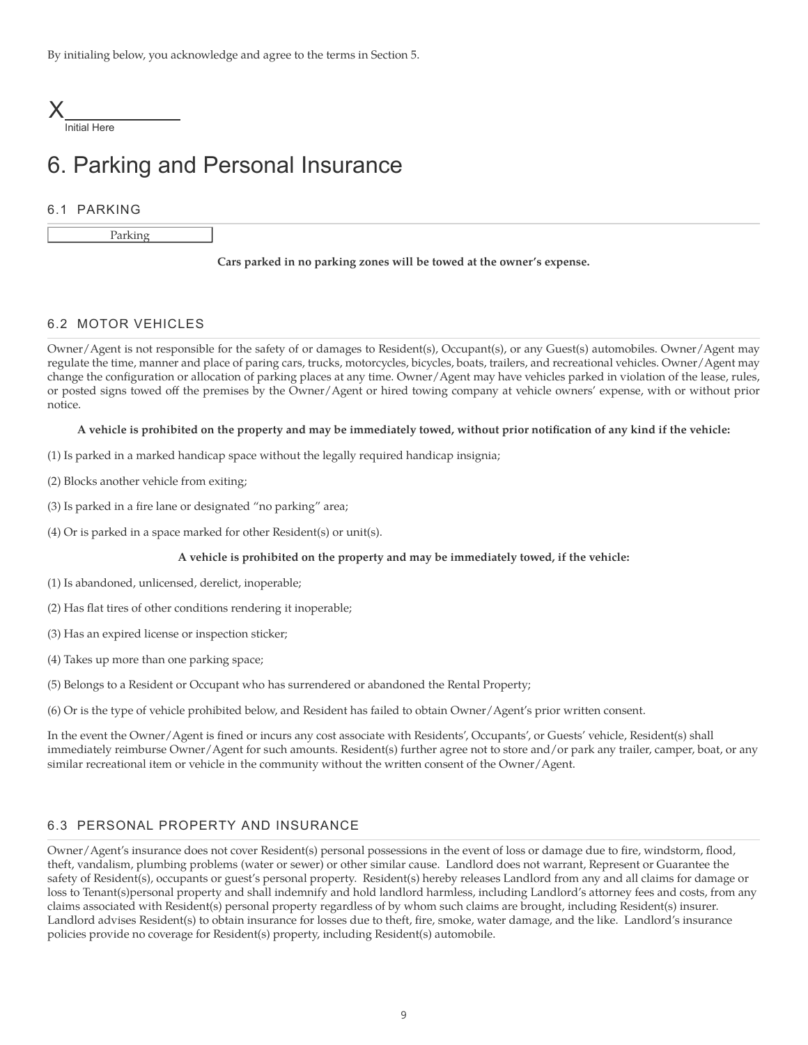By initialing below, you acknowledge and agree to the terms in Section 5.



Initial Here

# 6. Parking and Personal Insurance

#### 6.1 PARKING

Parking

#### **Cars parked in no parking zones will be towed at the owner's expense.**

#### 6.2 MOTOR VEHICLES

Owner/Agent is not responsible for the safety of or damages to Resident(s), Occupant(s), or any Guest(s) automobiles. Owner/Agent may regulate the time, manner and place of paring cars, trucks, motorcycles, bicycles, boats, trailers, and recreational vehicles. Owner/Agent may change the configuration or allocation of parking places at any time. Owner/Agent may have vehicles parked in violation of the lease, rules, or posted signs towed off the premises by the Owner/Agent or hired towing company at vehicle owners' expense, with or without prior notice.

#### **A vehicle is prohibited on the property and may be immediately towed, without prior notification of any kind if the vehicle:**

- (1) Is parked in a marked handicap space without the legally required handicap insignia;
- (2) Blocks another vehicle from exiting;
- (3) Is parked in a fire lane or designated "no parking" area;
- (4) Or is parked in a space marked for other Resident(s) or unit(s).

#### **A vehicle is prohibited on the property and may be immediately towed, if the vehicle:**

- (1) Is abandoned, unlicensed, derelict, inoperable;
- (2) Has flat tires of other conditions rendering it inoperable;
- (3) Has an expired license or inspection sticker;
- (4) Takes up more than one parking space;
- (5) Belongs to a Resident or Occupant who has surrendered or abandoned the Rental Property;
- (6) Or is the type of vehicle prohibited below, and Resident has failed to obtain Owner/Agent's prior written consent.

In the event the Owner/Agent is fined or incurs any cost associate with Residents', Occupants', or Guests' vehicle, Resident(s) shall immediately reimburse Owner/Agent for such amounts. Resident(s) further agree not to store and/or park any trailer, camper, boat, or any similar recreational item or vehicle in the community without the written consent of the Owner/Agent.

#### 6.3 PERSONAL PROPERTY AND INSURANCE

Owner/Agent's insurance does not cover Resident(s) personal possessions in the event of loss or damage due to fire, windstorm, flood, theft, vandalism, plumbing problems (water or sewer) or other similar cause. Landlord does not warrant, Represent or Guarantee the safety of Resident(s), occupants or guest's personal property. Resident(s) hereby releases Landlord from any and all claims for damage or loss to Tenant(s)personal property and shall indemnify and hold landlord harmless, including Landlord's attorney fees and costs, from any claims associated with Resident(s) personal property regardless of by whom such claims are brought, including Resident(s) insurer. Landlord advises Resident(s) to obtain insurance for losses due to theft, fire, smoke, water damage, and the like. Landlord's insurance policies provide no coverage for Resident(s) property, including Resident(s) automobile.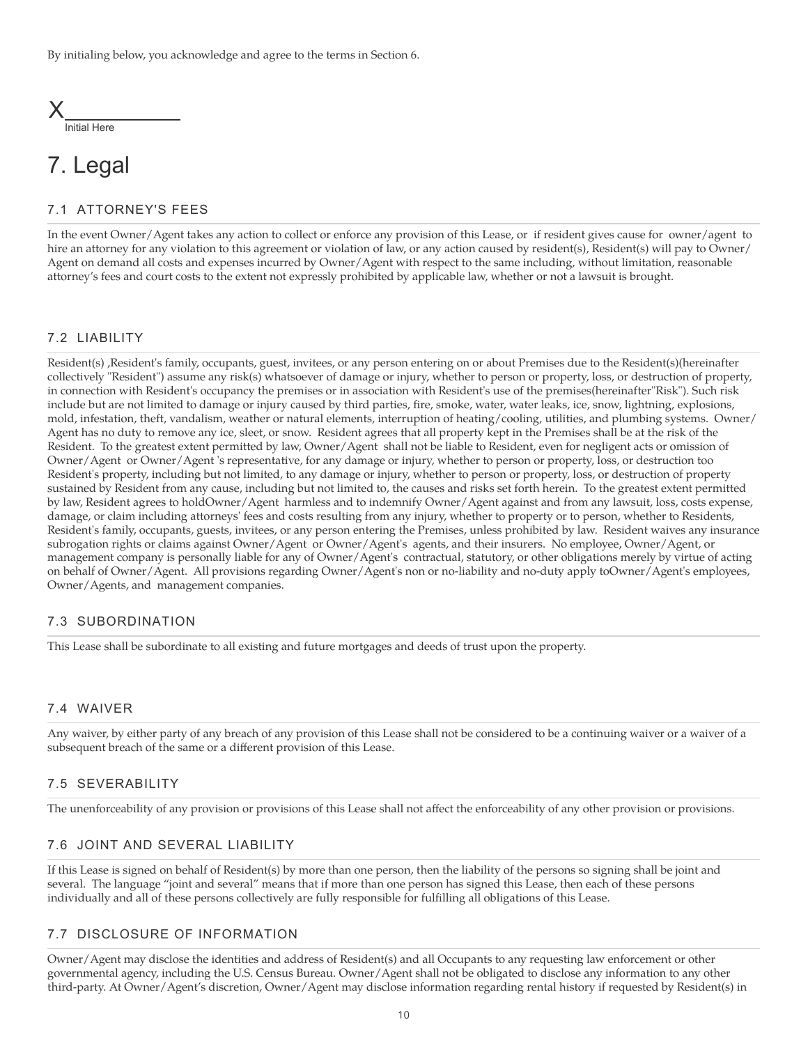

# 7. Legal

#### 7.1 ATTORNEY'S FEES

In the event Owner/Agent takes any action to collect or enforce any provision of this Lease, or if resident gives cause for owner/agent to hire an attorney for any violation to this agreement or violation of law, or any action caused by resident(s), Resident(s) will pay to Owner/ Agent on demand all costs and expenses incurred by Owner/Agent with respect to the same including, without limitation, reasonable attorney's fees and court costs to the extent not expressly prohibited by applicable law, whether or not a lawsuit is brought.

#### 7.2 LIABILITY

Resident(s) ,Resident's family, occupants, guest, invitees, or any person entering on or about Premises due to the Resident(s)(hereinafter collectively "Resident") assume any risk(s) whatsoever of damage or injury, whether to person or property, loss, or destruction of property, in connection with Resident's occupancy the premises or in association with Resident's use of the premises(hereinafter"Risk"). Such risk include but are not limited to damage or injury caused by third parties, fire, smoke, water, water leaks, ice, snow, lightning, explosions, mold, infestation, theft, vandalism, weather or natural elements, interruption of heating/cooling, utilities, and plumbing systems. Owner/ Agent has no duty to remove any ice, sleet, or snow. Resident agrees that all property kept in the Premises shall be at the risk of the Resident. To the greatest extent permitted by law, Owner/Agent shall not be liable to Resident, even for negligent acts or omission of Owner/Agent or Owner/Agent 's representative, for any damage or injury, whether to person or property, loss, or destruction too Resident's property, including but not limited, to any damage or injury, whether to person or property, loss, or destruction of property sustained by Resident from any cause, including but not limited to, the causes and risks set forth herein. To the greatest extent permitted by law, Resident agrees to holdOwner/Agent harmless and to indemnify Owner/Agent against and from any lawsuit, loss, costs expense, damage, or claim including attorneys' fees and costs resulting from any injury, whether to property or to person, whether to Residents, Resident's family, occupants, guests, invitees, or any person entering the Premises, unless prohibited by law. Resident waives any insurance subrogation rights or claims against Owner/Agent or Owner/Agent's agents, and their insurers. No employee, Owner/Agent, or management company is personally liable for any of Owner/Agent's contractual, statutory, or other obligations merely by virtue of acting on behalf of Owner/Agent. All provisions regarding Owner/Agent's non or no-liability and no-duty apply toOwner/Agent's employees, Owner/Agents, and management companies.

#### 7.3 SUBORDINATION

This Lease shall be subordinate to all existing and future mortgages and deeds of trust upon the property.

#### 7.4 WAIVER

Any waiver, by either party of any breach of any provision of this Lease shall not be considered to be a continuing waiver or a waiver of a subsequent breach of the same or a different provision of this Lease.

#### 7.5 SEVERABILITY

The unenforceability of any provision or provisions of this Lease shall not affect the enforceability of any other provision or provisions.

#### 7.6 JOINT AND SEVERAL LIABILITY

If this Lease is signed on behalf of Resident(s) by more than one person, then the liability of the persons so signing shall be joint and several. The language "joint and several" means that if more than one person has signed this Lease, then each of these persons individually and all of these persons collectively are fully responsible for fulfilling all obligations of this Lease.

#### 7.7 DISCLOSURE OF INFORMATION

Owner/Agent may disclose the identities and address of Resident(s) and all Occupants to any requesting law enforcement or other governmental agency, including the U.S. Census Bureau. Owner/Agent shall not be obligated to disclose any information to any other third-party. At Owner/Agent's discretion, Owner/Agent may disclose information regarding rental history if requested by Resident(s) in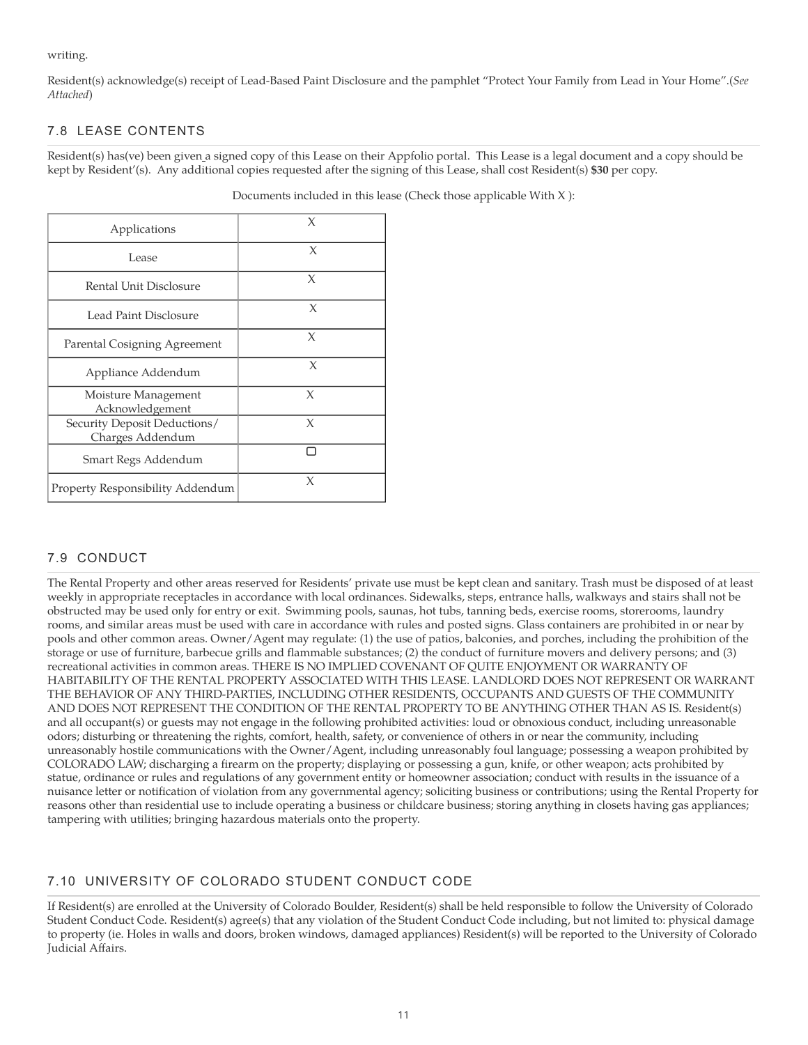writing.

Resident(s) acknowledge(s) receipt of Lead-Based Paint Disclosure and the pamphlet "Protect Your Family from Lead in Your Home".(*See Attached*)

## 7.8 LEASE CONTENTS

Resident(s) has(ve) been given a signed copy of this Lease on their Appfolio portal. This Lease is a legal document and a copy should be kept by Resident'(s). Any additional copies requested after the signing of this Lease, shall cost Resident(s) **\$30** per copy.

| Applications                                     | X      |
|--------------------------------------------------|--------|
| Lease                                            | X      |
| Rental Unit Disclosure                           | X      |
| Lead Paint Disclosure                            | X      |
| Parental Cosigning Agreement                     | X      |
| Appliance Addendum                               | X      |
| Moisture Management<br>Acknowledgement           | X      |
| Security Deposit Deductions/<br>Charges Addendum | $\chi$ |
| Smart Regs Addendum                              | ⊓      |
| Property Responsibility Addendum                 | X      |

Documents included in this lease (Check those applicable With X ):

# 7.9 CONDUCT

The Rental Property and other areas reserved for Residents' private use must be kept clean and sanitary. Trash must be disposed of at least weekly in appropriate receptacles in accordance with local ordinances. Sidewalks, steps, entrance halls, walkways and stairs shall not be obstructed may be used only for entry or exit. Swimming pools, saunas, hot tubs, tanning beds, exercise rooms, storerooms, laundry rooms, and similar areas must be used with care in accordance with rules and posted signs. Glass containers are prohibited in or near by pools and other common areas. Owner/Agent may regulate: (1) the use of patios, balconies, and porches, including the prohibition of the storage or use of furniture, barbecue grills and flammable substances; (2) the conduct of furniture movers and delivery persons; and (3) recreational activities in common areas. THERE IS NO IMPLIED COVENANT OF QUITE ENJOYMENT OR WARRANTY OF HABITABILITY OF THE RENTAL PROPERTY ASSOCIATED WITH THIS LEASE. LANDLORD DOES NOT REPRESENT OR WARRANT THE BEHAVIOR OF ANY THIRD-PARTIES, INCLUDING OTHER RESIDENTS, OCCUPANTS AND GUESTS OF THE COMMUNITY AND DOES NOT REPRESENT THE CONDITION OF THE RENTAL PROPERTY TO BE ANYTHING OTHER THAN AS IS. Resident(s) and all occupant(s) or guests may not engage in the following prohibited activities: loud or obnoxious conduct, including unreasonable odors; disturbing or threatening the rights, comfort, health, safety, or convenience of others in or near the community, including unreasonably hostile communications with the Owner/Agent, including unreasonably foul language; possessing a weapon prohibited by COLORADO LAW; discharging a firearm on the property; displaying or possessing a gun, knife, or other weapon; acts prohibited by statue, ordinance or rules and regulations of any government entity or homeowner association; conduct with results in the issuance of a nuisance letter or notification of violation from any governmental agency; soliciting business or contributions; using the Rental Property for reasons other than residential use to include operating a business or childcare business; storing anything in closets having gas appliances; tampering with utilities; bringing hazardous materials onto the property.

# 7.10 UNIVERSITY OF COLORADO STUDENT CONDUCT CODE

If Resident(s) are enrolled at the University of Colorado Boulder, Resident(s) shall be held responsible to follow the University of Colorado Student Conduct Code. Resident(s) agree(s) that any violation of the Student Conduct Code including, but not limited to: physical damage to property (ie. Holes in walls and doors, broken windows, damaged appliances) Resident(s) will be reported to the University of Colorado Judicial Affairs.